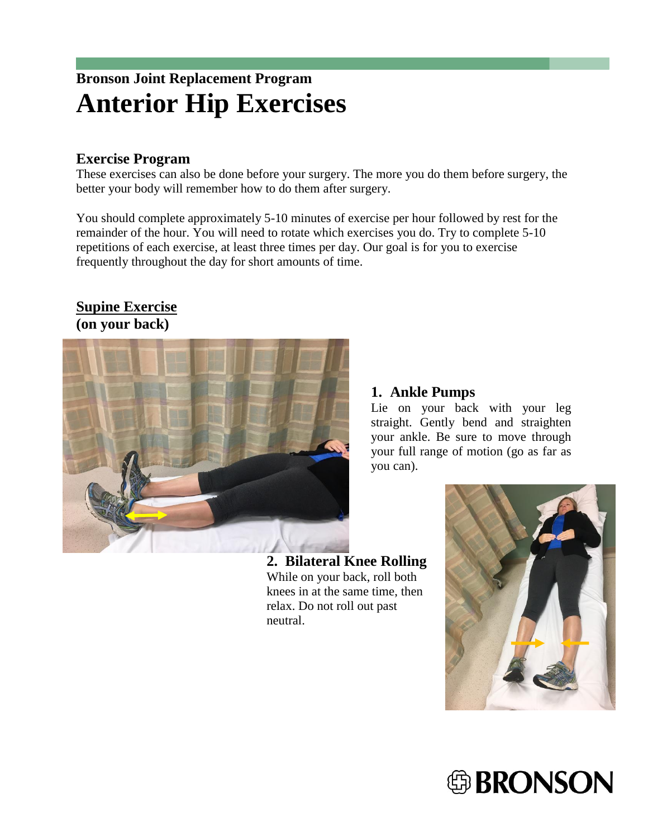# **Bronson Joint Replacement Program Anterior Hip Exercises**

#### **Exercise Program**

These exercises can also be done before your surgery. The more you do them before surgery, the better your body will remember how to do them after surgery.

You should complete approximately 5-10 minutes of exercise per hour followed by rest for the remainder of the hour. You will need to rotate which exercises you do. Try to complete 5-10 repetitions of each exercise, at least three times per day. Our goal is for you to exercise frequently throughout the day for short amounts of time.

#### **Supine Exercise (on your back)**



#### **1. Ankle Pumps**

Lie on your back with your leg straight. Gently bend and straighten your ankle. Be sure to move through your full range of motion (go as far as you can).

**2. Bilateral Knee Rolling** While on your back, roll both knees in at the same time, then relax. Do not roll out past neutral.



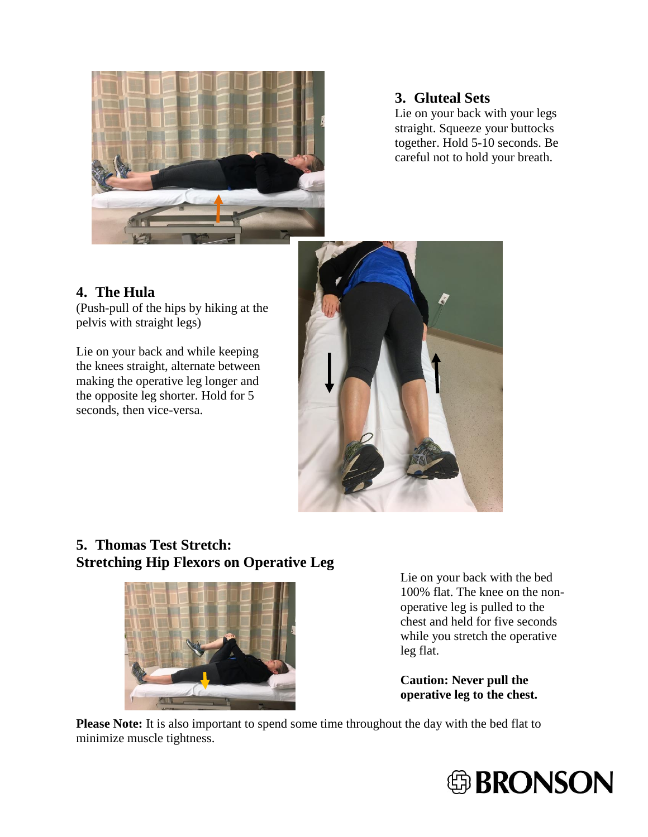

#### **3. Gluteal Sets**

Lie on your back with your legs straight. Squeeze your buttocks together. Hold 5-10 seconds. Be careful not to hold your breath.

# **4. The Hula**

(Push-pull of the hips by hiking at the pelvis with straight legs)

Lie on your back and while keeping the knees straight, alternate between making the operative leg longer and the opposite leg shorter. Hold for 5 seconds, then vice-versa.



## **5. Thomas Test Stretch: Stretching Hip Flexors on Operative Leg**



Lie on your back with the bed 100% flat. The knee on the nonoperative leg is pulled to the chest and held for five seconds while you stretch the operative leg flat.

**Caution: Never pull the operative leg to the chest.**

**Please Note:** It is also important to spend some time throughout the day with the bed flat to minimize muscle tightness.

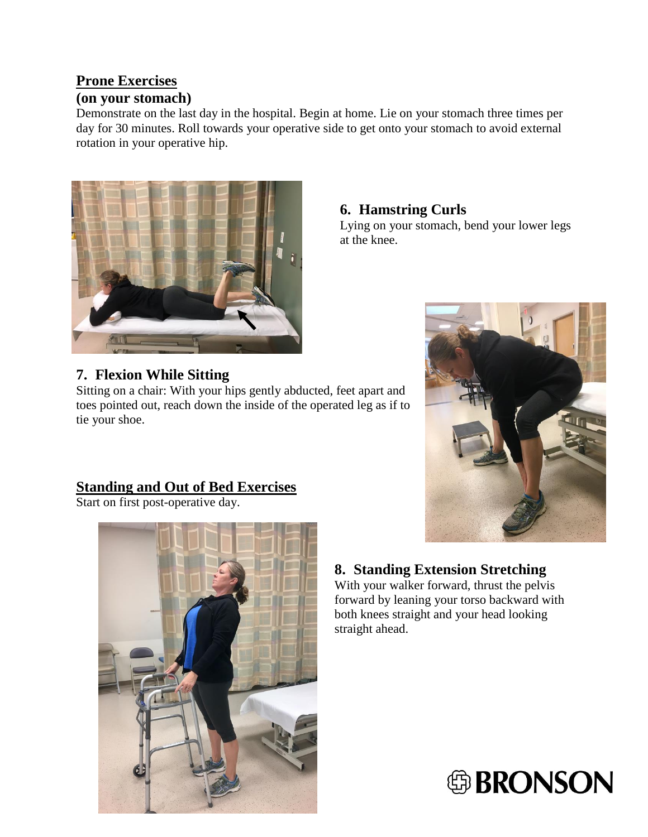# **Prone Exercises**

#### **(on your stomach)**

Demonstrate on the last day in the hospital. Begin at home. Lie on your stomach three times per day for 30 minutes. Roll towards your operative side to get onto your stomach to avoid external rotation in your operative hip.



### **6. Hamstring Curls**

Lying on your stomach, bend your lower legs at the knee.



Sitting on a chair: With your hips gently abducted, feet apart and toes pointed out, reach down the inside of the operated leg as if to tie your shoe.

# **Standing and Out of Bed Exercises**

Start on first post-operative day.



# **8. Standing Extension Stretching**

With your walker forward, thrust the pelvis forward by leaning your torso backward with both knees straight and your head looking straight ahead.